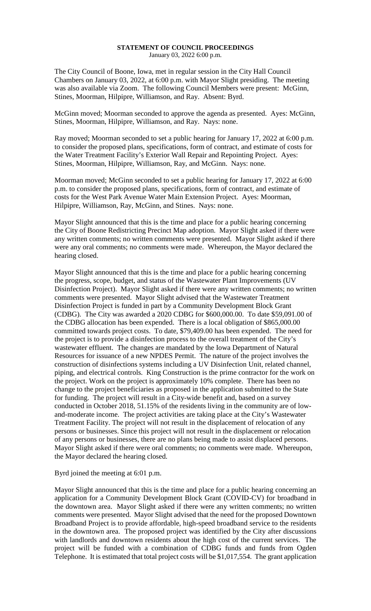## **STATEMENT OF COUNCIL PROCEEDINGS** January 03, 2022 6:00 p.m.

The City Council of Boone, Iowa, met in regular session in the City Hall Council Chambers on January 03, 2022, at 6:00 p.m. with Mayor Slight presiding. The meeting was also available via Zoom. The following Council Members were present: McGinn, Stines, Moorman, Hilpipre, Williamson, and Ray. Absent: Byrd.

McGinn moved; Moorman seconded to approve the agenda as presented. Ayes: McGinn, Stines, Moorman, Hilpipre, Williamson, and Ray. Nays: none.

Ray moved; Moorman seconded to set a public hearing for January 17, 2022 at 6:00 p.m. to consider the proposed plans, specifications, form of contract, and estimate of costs for the Water Treatment Facility's Exterior Wall Repair and Repointing Project. Ayes: Stines, Moorman, Hilpipre, Williamson, Ray, and McGinn. Nays: none.

Moorman moved; McGinn seconded to set a public hearing for January 17, 2022 at 6:00 p.m. to consider the proposed plans, specifications, form of contract, and estimate of costs for the West Park Avenue Water Main Extension Project. Ayes: Moorman, Hilpipre, Williamson, Ray, McGinn, and Stines. Nays: none.

Mayor Slight announced that this is the time and place for a public hearing concerning the City of Boone Redistricting Precinct Map adoption. Mayor Slight asked if there were any written comments; no written comments were presented. Mayor Slight asked if there were any oral comments; no comments were made. Whereupon, the Mayor declared the hearing closed.

Mayor Slight announced that this is the time and place for a public hearing concerning the progress, scope, budget, and status of the Wastewater Plant Improvements (UV Disinfection Project). Mayor Slight asked if there were any written comments; no written comments were presented. Mayor Slight advised that the Wastewater Treatment Disinfection Project is funded in part by a Community Development Block Grant (CDBG). The City was awarded a 2020 CDBG for \$600,000.00. To date \$59,091.00 of the CDBG allocation has been expended. There is a local obligation of \$865,000.00 committed towards project costs. To date, \$79,409.00 has been expended. The need for the project is to provide a disinfection process to the overall treatment of the City's wastewater effluent. The changes are mandated by the Iowa Department of Natural Resources for issuance of a new NPDES Permit. The nature of the project involves the construction of disinfections systems including a UV Disinfection Unit, related channel, piping, and electrical controls. King Construction is the prime contractor for the work on the project. Work on the project is approximately 10% complete. There has been no change to the project beneficiaries as proposed in the application submitted to the State for funding. The project will result in a City-wide benefit and, based on a survey conducted in October 2018, 51.15% of the residents living in the community are of lowand-moderate income. The project activities are taking place at the City's Wastewater Treatment Facility. The project will not result in the displacement of relocation of any persons or businesses. Since this project will not result in the displacement or relocation of any persons or businesses, there are no plans being made to assist displaced persons. Mayor Slight asked if there were oral comments; no comments were made. Whereupon, the Mayor declared the hearing closed.

## Byrd joined the meeting at 6:01 p.m.

Mayor Slight announced that this is the time and place for a public hearing concerning an application for a Community Development Block Grant (COVID-CV) for broadband in the downtown area. Mayor Slight asked if there were any written comments; no written comments were presented. Mayor Slight advised that the need for the proposed Downtown Broadband Project is to provide affordable, high-speed broadband service to the residents in the downtown area. The proposed project was identified by the City after discussions with landlords and downtown residents about the high cost of the current services. The project will be funded with a combination of CDBG funds and funds from Ogden Telephone. It is estimated that total project costs will be \$1,017,554. The grant application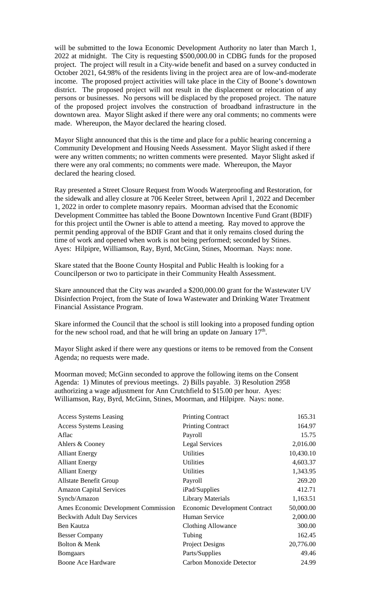will be submitted to the Iowa Economic Development Authority no later than March 1, 2022 at midnight. The City is requesting \$500,000.00 in CDBG funds for the proposed project. The project will result in a City-wide benefit and based on a survey conducted in October 2021, 64.98% of the residents living in the project area are of low-and-moderate income. The proposed project activities will take place in the City of Boone's downtown district. The proposed project will not result in the displacement or relocation of any persons or businesses. No persons will be displaced by the proposed project. The nature of the proposed project involves the construction of broadband infrastructure in the downtown area. Mayor Slight asked if there were any oral comments; no comments were made. Whereupon, the Mayor declared the hearing closed.

Mayor Slight announced that this is the time and place for a public hearing concerning a Community Development and Housing Needs Assessment. Mayor Slight asked if there were any written comments; no written comments were presented. Mayor Slight asked if there were any oral comments; no comments were made. Whereupon, the Mayor declared the hearing closed.

Ray presented a Street Closure Request from Woods Waterproofing and Restoration, for the sidewalk and alley closure at 706 Keeler Street, between April 1, 2022 and December 1, 2022 in order to complete masonry repairs. Moorman advised that the Economic Development Committee has tabled the Boone Downtown Incentive Fund Grant (BDIF) for this project until the Owner is able to attend a meeting. Ray moved to approve the permit pending approval of the BDIF Grant and that it only remains closed during the time of work and opened when work is not being performed; seconded by Stines. Ayes: Hilpipre, Williamson, Ray, Byrd, McGinn, Stines, Moorman. Nays: none.

Skare stated that the Boone County Hospital and Public Health is looking for a Councilperson or two to participate in their Community Health Assessment.

Skare announced that the City was awarded a \$200,000.00 grant for the Wastewater UV Disinfection Project, from the State of Iowa Wastewater and Drinking Water Treatment Financial Assistance Program.

Skare informed the Council that the school is still looking into a proposed funding option for the new school road, and that he will bring an update on January  $17<sup>th</sup>$ .

Mayor Slight asked if there were any questions or items to be removed from the Consent Agenda; no requests were made.

Moorman moved; McGinn seconded to approve the following items on the Consent Agenda: 1) Minutes of previous meetings. 2) Bills payable. 3) Resolution 2958 authorizing a wage adjustment for Ann Crutchfield to \$15.00 per hour. Ayes: Williamson, Ray, Byrd, McGinn, Stines, Moorman, and Hilpipre. Nays: none.

| <b>Access Systems Leasing</b>        | <b>Printing Contract</b>             | 165.31    |
|--------------------------------------|--------------------------------------|-----------|
| <b>Access Systems Leasing</b>        | <b>Printing Contract</b>             | 164.97    |
| Aflac                                | Payroll                              | 15.75     |
| Ahlers & Cooney                      | <b>Legal Services</b>                | 2,016.00  |
| <b>Alliant Energy</b>                | <b>Utilities</b>                     | 10,430.10 |
| <b>Alliant Energy</b>                | <b>Utilities</b>                     | 4,603.37  |
| <b>Alliant Energy</b>                | Utilities                            | 1,343.95  |
| <b>Allstate Benefit Group</b>        | Payroll                              | 269.20    |
| <b>Amazon Capital Services</b>       | iPad/Supplies                        | 412.71    |
| Syncb/Amazon                         | <b>Library Materials</b>             | 1,163.51  |
| Ames Economic Development Commission | <b>Economic Development Contract</b> | 50,000.00 |
| <b>Beckwith Adult Day Services</b>   | Human Service                        | 2,000.00  |
| Ben Kautza                           | Clothing Allowance                   | 300.00    |
| <b>Besser Company</b>                | Tubing                               | 162.45    |
| Bolton & Menk                        | Project Designs                      | 20,776.00 |
| <b>Bomgaars</b>                      | Parts/Supplies                       | 49.46     |
| Boone Ace Hardware                   | Carbon Monoxide Detector             | 24.99     |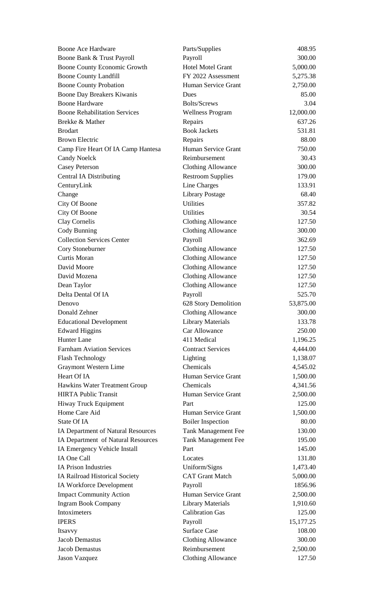| Boone Ace Hardware                   | Parts/Supplies             | 408.95      |
|--------------------------------------|----------------------------|-------------|
| Boone Bank & Trust Payroll           | Payroll                    | 300.00      |
| Boone County Economic Growth         | <b>Hotel Motel Grant</b>   | 5,000.00    |
| <b>Boone County Landfill</b>         | FY 2022 Assessment         | 5,275.38    |
| <b>Boone County Probation</b>        | Human Service Grant        | 2,750.00    |
| Boone Day Breakers Kiwanis           | Dues                       | 85.00       |
| <b>Boone Hardware</b>                | <b>Bolts/Screws</b>        | 3.04        |
| <b>Boone Rehabilitation Services</b> | <b>Wellness Program</b>    | 12,000.00   |
| Brekke & Mather                      | Repairs                    | 637.26      |
| <b>Brodart</b>                       | <b>Book Jackets</b>        | 531.81      |
| <b>Brown Electric</b>                | Repairs                    | 88.00       |
| Camp Fire Heart Of IA Camp Hantesa   | Human Service Grant        | 750.00      |
| <b>Candy Noelck</b>                  | Reimbursement              | 30.43       |
| <b>Casey Peterson</b>                | <b>Clothing Allowance</b>  | 300.00      |
| <b>Central IA Distributing</b>       | <b>Restroom Supplies</b>   | 179.00      |
| CenturyLink                          | Line Charges               | 133.91      |
| Change                               | <b>Library Postage</b>     | 68.40       |
| City Of Boone                        | <b>Utilities</b>           | 357.82      |
| City Of Boone                        | <b>Utilities</b>           | 30.54       |
| Clay Cornelis                        | <b>Clothing Allowance</b>  | 127.50      |
| Cody Bunning                         | <b>Clothing Allowance</b>  | 300.00      |
| <b>Collection Services Center</b>    | Payroll                    | 362.69      |
| Cory Stoneburner                     | <b>Clothing Allowance</b>  | 127.50      |
| Curtis Moran                         | <b>Clothing Allowance</b>  | 127.50      |
| David Moore                          | <b>Clothing Allowance</b>  | 127.50      |
| David Mozena                         | <b>Clothing Allowance</b>  | 127.50      |
| Dean Taylor                          | <b>Clothing Allowance</b>  | 127.50      |
| Delta Dental Of IA                   | Payroll                    | 525.70      |
| Denovo                               | 628 Story Demolition       | 53,875.00   |
| Donald Zehner                        | <b>Clothing Allowance</b>  | 300.00      |
| <b>Educational Development</b>       | <b>Library Materials</b>   | 133.78      |
| <b>Edward Higgins</b>                | Car Allowance              | 250.00      |
| <b>Hunter Lane</b>                   | 411 Medical                | 1,196.25    |
| <b>Farnham Aviation Services</b>     | <b>Contract Services</b>   | 4,444.00    |
| <b>Flash Technology</b>              | Lighting                   | 1,138.07    |
| Graymont Western Lime                | Chemicals                  | 4,545.02    |
| Heart Of IA                          | Human Service Grant        | 1,500.00    |
| Hawkins Water Treatment Group        | Chemicals                  | 4,341.56    |
| <b>HIRTA Public Transit</b>          | Human Service Grant        | 2,500.00    |
| Hiway Truck Equipment                | Part                       | 125.00      |
| Home Care Aid                        | Human Service Grant        | 1,500.00    |
| State Of IA                          | <b>Boiler Inspection</b>   | 80.00       |
| IA Department of Natural Resources   | Tank Management Fee        | 130.00      |
| IA Department of Natural Resources   | <b>Tank Management Fee</b> | 195.00      |
| IA Emergency Vehicle Install         | Part                       | 145.00      |
| IA One Call                          | Locates                    | 131.80      |
| <b>IA Prison Industries</b>          | Uniform/Signs              | 1,473.40    |
| IA Railroad Historical Society       | <b>CAT Grant Match</b>     | 5,000.00    |
| IA Workforce Development             | Payroll                    | 1856.96     |
| <b>Impact Community Action</b>       | Human Service Grant        | 2,500.00    |
| <b>Ingram Book Company</b>           | <b>Library Materials</b>   | 1,910.60    |
| Intoximeters                         | <b>Calibration Gas</b>     | 125.00      |
| <b>IPERS</b>                         | Payroll                    | 15, 177. 25 |
| Itsavvy                              | <b>Surface Case</b>        | 108.00      |
| <b>Jacob Demastus</b>                | <b>Clothing Allowance</b>  | 300.00      |
| Jacob Demastus                       | Reimbursement              | 2,500.00    |
| Jason Vazquez                        | <b>Clothing Allowance</b>  | 127.50      |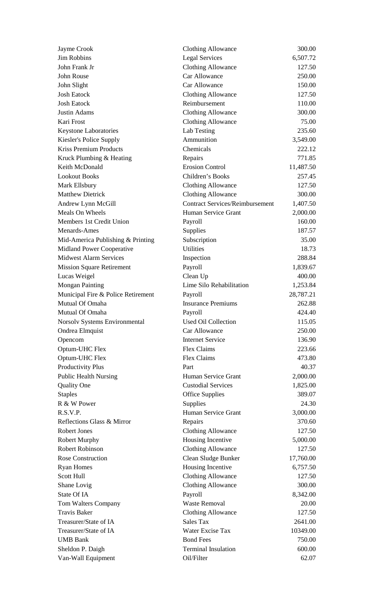| Jayme Crook                        | <b>Clothing Allowance</b>              | 300.00    |
|------------------------------------|----------------------------------------|-----------|
| <b>Jim Robbins</b>                 | <b>Legal Services</b>                  | 6,507.72  |
| John Frank Jr                      | <b>Clothing Allowance</b>              | 127.50    |
| John Rouse                         | Car Allowance                          | 250.00    |
| John Slight                        | Car Allowance                          | 150.00    |
| <b>Josh Eatock</b>                 | <b>Clothing Allowance</b>              | 127.50    |
| <b>Josh Eatock</b>                 | Reimbursement                          | 110.00    |
| Justin Adams                       | <b>Clothing Allowance</b>              | 300.00    |
| Kari Frost                         | <b>Clothing Allowance</b>              | 75.00     |
| Keystone Laboratories              | Lab Testing                            | 235.60    |
| Kiesler's Police Supply            | Ammunition                             | 3,549.00  |
| <b>Kriss Premium Products</b>      | Chemicals                              | 222.12    |
| Kruck Plumbing & Heating           | Repairs                                | 771.85    |
| Keith McDonald                     | <b>Erosion Control</b>                 | 11,487.50 |
| <b>Lookout Books</b>               | Children's Books                       | 257.45    |
| Mark Ellsbury                      | <b>Clothing Allowance</b>              | 127.50    |
| <b>Matthew Dietrick</b>            | <b>Clothing Allowance</b>              | 300.00    |
| Andrew Lynn McGill                 | <b>Contract Services/Reimbursement</b> | 1,407.50  |
| Meals On Wheels                    | Human Service Grant                    | 2,000.00  |
| Members 1st Credit Union           | Payroll                                | 160.00    |
| Menards-Ames                       | Supplies                               | 187.57    |
| Mid-America Publishing & Printing  | Subscription                           | 35.00     |
| Midland Power Cooperative          | <b>Utilities</b>                       | 18.73     |
| <b>Midwest Alarm Services</b>      | Inspection                             | 288.84    |
| <b>Mission Square Retirement</b>   | Payroll                                | 1,839.67  |
| Lucas Weigel                       | Clean Up                               | 400.00    |
| <b>Mongan Painting</b>             | Lime Silo Rehabilitation               | 1,253.84  |
| Municipal Fire & Police Retirement | Payroll                                | 28,787.21 |
| Mutual Of Omaha                    | <b>Insurance Premiums</b>              | 262.88    |
| Mutual Of Omaha                    | Payroll                                | 424.40    |
| Norsolv Systems Environmental      | Used Oil Collection                    | 115.05    |
| Ondrea Elmquist                    | Car Allowance                          | 250.00    |
| Opencom                            | <b>Internet Service</b>                | 136.90    |
| Optum-UHC Flex                     | Flex Claims                            | 223.66    |
| Optum-UHC Flex                     | Flex Claims                            | 473.80    |
| Productivity Plus                  | Part                                   | 40.37     |
| <b>Public Health Nursing</b>       | Human Service Grant                    | 2,000.00  |
| <b>Quality One</b>                 | <b>Custodial Services</b>              | 1,825.00  |
| <b>Staples</b>                     | <b>Office Supplies</b>                 | 389.07    |
| R & W Power                        | Supplies                               | 24.30     |
| R.S.V.P.                           | Human Service Grant                    | 3,000.00  |
| Reflections Glass & Mirror         | Repairs                                | 370.60    |
| <b>Robert Jones</b>                | <b>Clothing Allowance</b>              | 127.50    |
| <b>Robert Murphy</b>               | Housing Incentive                      | 5,000.00  |
| <b>Robert Robinson</b>             | <b>Clothing Allowance</b>              | 127.50    |
| <b>Rose Construction</b>           | Clean Sludge Bunker                    | 17,760.00 |
| <b>Ryan Homes</b>                  | Housing Incentive                      | 6,757.50  |
| Scott Hull                         | <b>Clothing Allowance</b>              | 127.50    |
| Shane Lovig                        | <b>Clothing Allowance</b>              | 300.00    |
| State Of IA                        | Payroll                                | 8,342.00  |
| Tom Walters Company                | <b>Waste Removal</b>                   | 20.00     |
| <b>Travis Baker</b>                | <b>Clothing Allowance</b>              | 127.50    |
| Treasurer/State of IA              | Sales Tax                              | 2641.00   |
| Treasurer/State of IA              | Water Excise Tax                       | 10349.00  |
| <b>UMB Bank</b>                    | <b>Bond Fees</b>                       | 750.00    |
| Sheldon P. Daigh                   | <b>Terminal Insulation</b>             | 600.00    |
| Van-Wall Equipment                 | Oil/Filter                             | 62.07     |
|                                    |                                        |           |